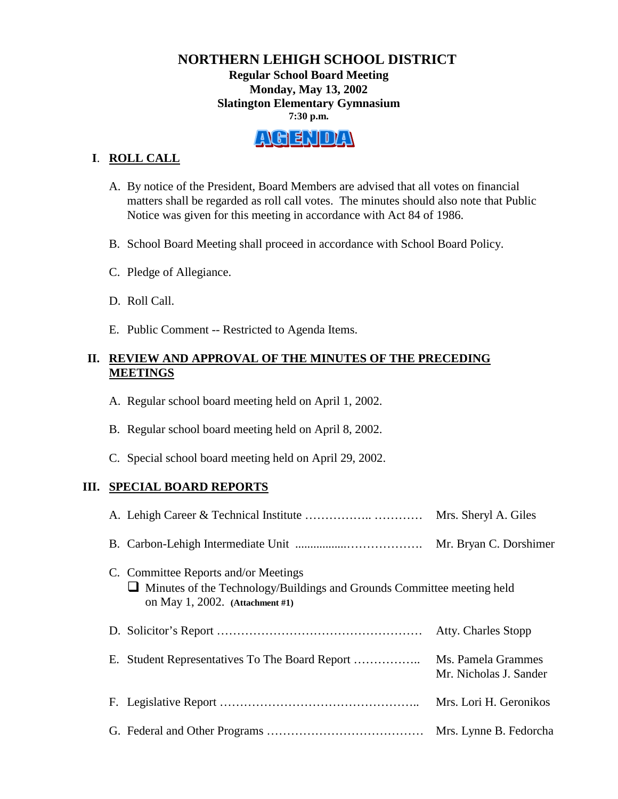# **NORTHERN LEHIGH SCHOOL DISTRICT Regular School Board Meeting Monday, May 13, 2002 Slatington Elementary Gymnasium 7:30 p.m.**

# ALGENDAN

# **I**. **ROLL CALL**

- A. By notice of the President, Board Members are advised that all votes on financial matters shall be regarded as roll call votes. The minutes should also note that Public Notice was given for this meeting in accordance with Act 84 of 1986.
- B. School Board Meeting shall proceed in accordance with School Board Policy.
- C. Pledge of Allegiance.
- D. Roll Call.
- E. Public Comment -- Restricted to Agenda Items.

# **II. REVIEW AND APPROVAL OF THE MINUTES OF THE PRECEDING MEETINGS**

- A. Regular school board meeting held on April 1, 2002.
- B. Regular school board meeting held on April 8, 2002.
- C. Special school board meeting held on April 29, 2002.

# **III. SPECIAL BOARD REPORTS**

|                                                                                                                                                          | Mrs. Sheryl A. Giles                         |  |
|----------------------------------------------------------------------------------------------------------------------------------------------------------|----------------------------------------------|--|
|                                                                                                                                                          | Mr. Bryan C. Dorshimer                       |  |
| C. Committee Reports and/or Meetings<br>$\Box$ Minutes of the Technology/Buildings and Grounds Committee meeting held<br>on May 1, 2002. (Attachment #1) |                                              |  |
|                                                                                                                                                          | Atty. Charles Stopp                          |  |
|                                                                                                                                                          | Ms. Pamela Grammes<br>Mr. Nicholas J. Sander |  |
|                                                                                                                                                          | Mrs. Lori H. Geronikos                       |  |
|                                                                                                                                                          | Mrs. Lynne B. Fedorcha                       |  |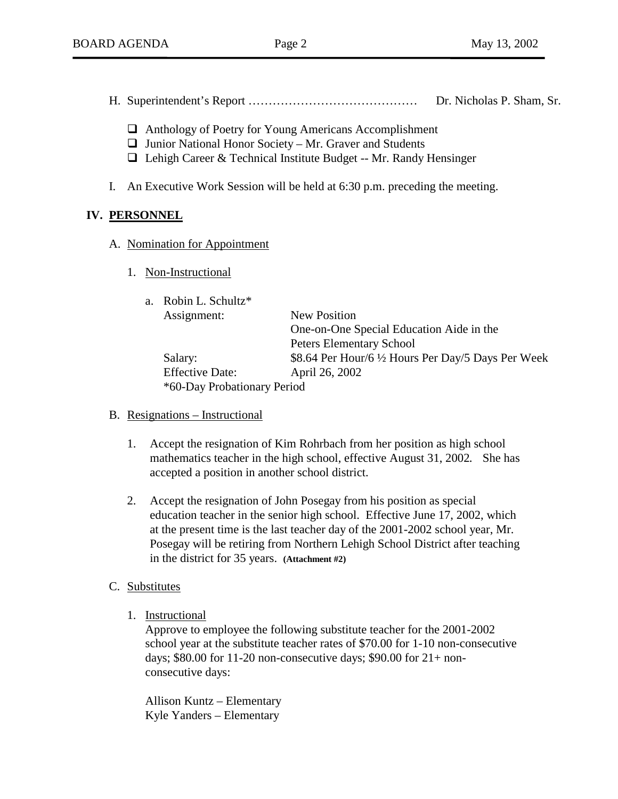- H. Superintendent's Report …………………………………… Dr. Nicholas P. Sham, Sr.
	- $\Box$  Anthology of Poetry for Young Americans Accomplishment
	- $\Box$  Junior National Honor Society Mr. Graver and Students
	- $\Box$  Lehigh Career & Technical Institute Budget -- Mr. Randy Hensinger
- I. An Executive Work Session will be held at 6:30 p.m. preceding the meeting.

## **IV. PERSONNEL**

- A. Nomination for Appointment
	- 1. Non-Instructional

| a. Robin L. Schultz*        |                                                     |  |
|-----------------------------|-----------------------------------------------------|--|
| Assignment:                 | <b>New Position</b>                                 |  |
|                             | One-on-One Special Education Aide in the            |  |
|                             | <b>Peters Elementary School</b>                     |  |
| Salary:                     | \$8.64 Per Hour/6 1/2 Hours Per Day/5 Days Per Week |  |
| <b>Effective Date:</b>      | April 26, 2002                                      |  |
| *60-Day Probationary Period |                                                     |  |

- B. Resignations Instructional
	- 1. Accept the resignation of Kim Rohrbach from her position as high school mathematics teacher in the high school, effective August 31, 2002**.** She has accepted a position in another school district.
	- 2. Accept the resignation of John Posegay from his position as special education teacher in the senior high school. Effective June 17, 2002, which at the present time is the last teacher day of the 2001-2002 school year, Mr. Posegay will be retiring from Northern Lehigh School District after teaching in the district for 35 years. **(Attachment #2)**

# C. Substitutes

1. Instructional

Approve to employee the following substitute teacher for the 2001-2002 school year at the substitute teacher rates of \$70.00 for 1-10 non-consecutive days; \$80.00 for 11-20 non-consecutive days; \$90.00 for 21+ nonconsecutive days:

 Allison Kuntz – Elementary Kyle Yanders – Elementary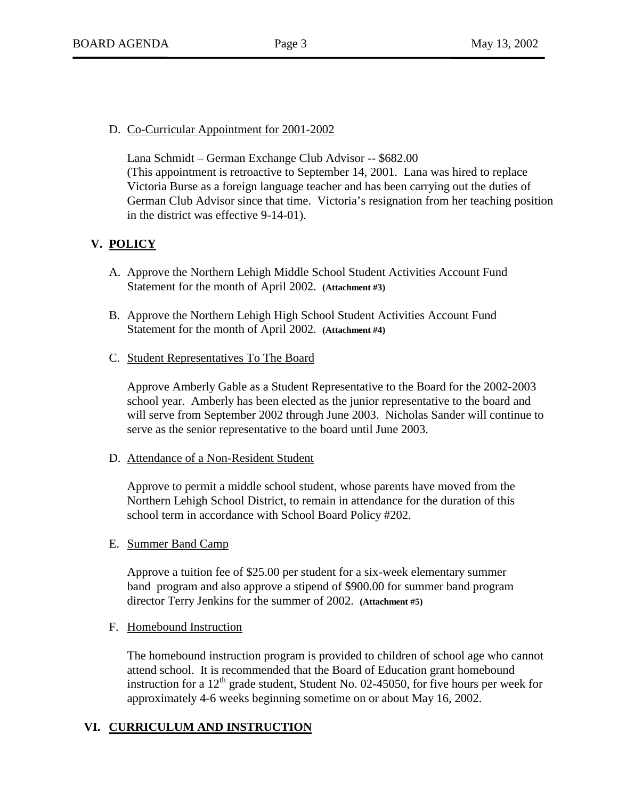## D. Co-Curricular Appointment for 2001-2002

Lana Schmidt – German Exchange Club Advisor -- \$682.00 (This appointment is retroactive to September 14, 2001. Lana was hired to replace Victoria Burse as a foreign language teacher and has been carrying out the duties of German Club Advisor since that time. Victoria's resignation from her teaching position in the district was effective 9-14-01).

# **V. POLICY**

- A. Approve the Northern Lehigh Middle School Student Activities Account Fund Statement for the month of April 2002. **(Attachment #3)**
- B. Approve the Northern Lehigh High School Student Activities Account Fund Statement for the month of April 2002. **(Attachment #4)**
- C. Student Representatives To The Board

Approve Amberly Gable as a Student Representative to the Board for the 2002-2003 school year. Amberly has been elected as the junior representative to the board and will serve from September 2002 through June 2003. Nicholas Sander will continue to serve as the senior representative to the board until June 2003.

D. Attendance of a Non-Resident Student

Approve to permit a middle school student, whose parents have moved from the Northern Lehigh School District, to remain in attendance for the duration of this school term in accordance with School Board Policy #202.

E. Summer Band Camp

Approve a tuition fee of \$25.00 per student for a six-week elementary summer band program and also approve a stipend of \$900.00 for summer band program director Terry Jenkins for the summer of 2002. **(Attachment #5)**

F. Homebound Instruction

The homebound instruction program is provided to children of school age who cannot attend school. It is recommended that the Board of Education grant homebound instruction for a  $12<sup>th</sup>$  grade student, Student No. 02-45050, for five hours per week for approximately 4-6 weeks beginning sometime on or about May 16, 2002.

# **VI. CURRICULUM AND INSTRUCTION**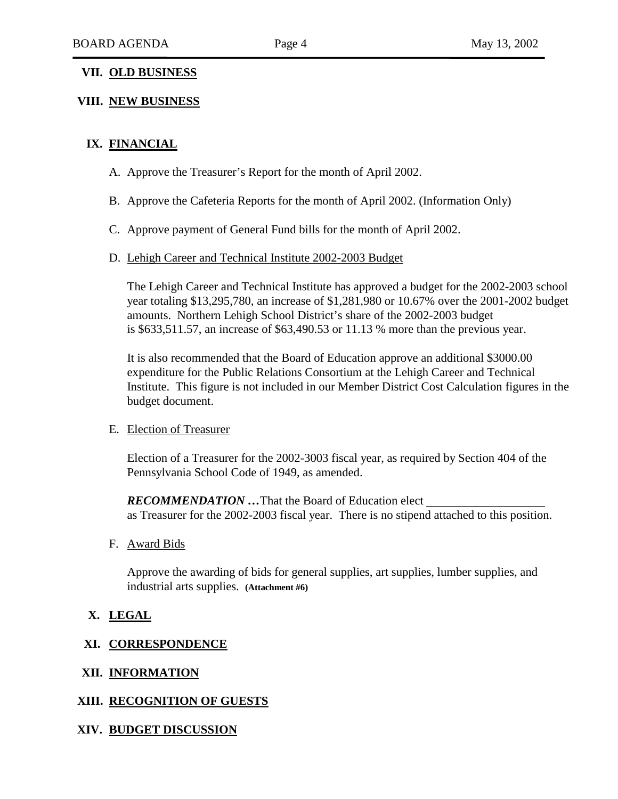## **VII. OLD BUSINESS**

## **VIII. NEW BUSINESS**

## **IX. FINANCIAL**

- A. Approve the Treasurer's Report for the month of April 2002.
- B. Approve the Cafeteria Reports for the month of April 2002. (Information Only)
- C. Approve payment of General Fund bills for the month of April 2002.

#### D. Lehigh Career and Technical Institute 2002-2003 Budget

The Lehigh Career and Technical Institute has approved a budget for the 2002-2003 school year totaling \$13,295,780, an increase of \$1,281,980 or 10.67% over the 2001-2002 budget amounts. Northern Lehigh School District's share of the 2002-2003 budget is \$633,511.57, an increase of \$63,490.53 or 11.13 % more than the previous year.

It is also recommended that the Board of Education approve an additional \$3000.00 expenditure for the Public Relations Consortium at the Lehigh Career and Technical Institute. This figure is not included in our Member District Cost Calculation figures in the budget document.

#### E. Election of Treasurer

Election of a Treasurer for the 2002-3003 fiscal year, as required by Section 404 of the Pennsylvania School Code of 1949, as amended.

*RECOMMENDATION …*That the Board of Education elect as Treasurer for the 2002-2003 fiscal year. There is no stipend attached to this position.

#### F. Award Bids

Approve the awarding of bids for general supplies, art supplies, lumber supplies, and industrial arts supplies. **(Attachment #6)**

## **X. LEGAL**

#### **XI. CORRESPONDENCE**

### **XII. INFORMATION**

### **XIII. RECOGNITION OF GUESTS**

#### **XIV. BUDGET DISCUSSION**